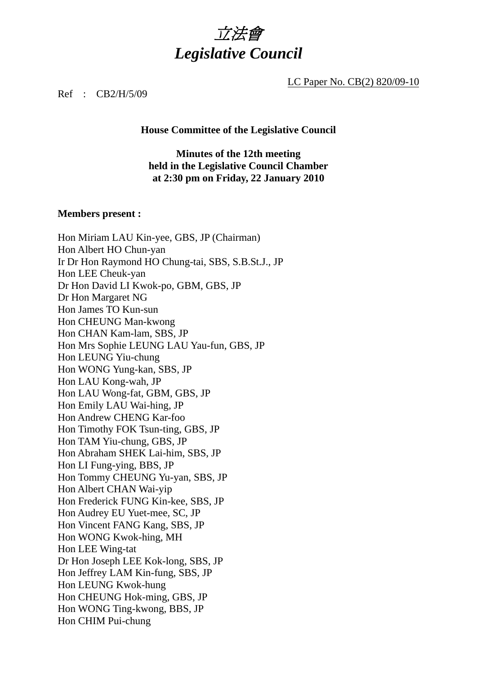# 立法會 *Legislative Council*

LC Paper No. CB(2) 820/09-10

Ref : CB2/H/5/09

#### **House Committee of the Legislative Council**

### **Minutes of the 12th meeting held in the Legislative Council Chamber at 2:30 pm on Friday, 22 January 2010**

#### **Members present :**

Hon Miriam LAU Kin-yee, GBS, JP (Chairman) Hon Albert HO Chun-yan Ir Dr Hon Raymond HO Chung-tai, SBS, S.B.St.J., JP Hon LEE Cheuk-yan Dr Hon David LI Kwok-po, GBM, GBS, JP Dr Hon Margaret NG Hon James TO Kun-sun Hon CHEUNG Man-kwong Hon CHAN Kam-lam, SBS, JP Hon Mrs Sophie LEUNG LAU Yau-fun, GBS, JP Hon LEUNG Yiu-chung Hon WONG Yung-kan, SBS, JP Hon LAU Kong-wah, JP Hon LAU Wong-fat, GBM, GBS, JP Hon Emily LAU Wai-hing, JP Hon Andrew CHENG Kar-foo Hon Timothy FOK Tsun-ting, GBS, JP Hon TAM Yiu-chung, GBS, JP Hon Abraham SHEK Lai-him, SBS, JP Hon LI Fung-ying, BBS, JP Hon Tommy CHEUNG Yu-yan, SBS, JP Hon Albert CHAN Wai-yip Hon Frederick FUNG Kin-kee, SBS, JP Hon Audrey EU Yuet-mee, SC, JP Hon Vincent FANG Kang, SBS, JP Hon WONG Kwok-hing, MH Hon LEE Wing-tat Dr Hon Joseph LEE Kok-long, SBS, JP Hon Jeffrey LAM Kin-fung, SBS, JP Hon LEUNG Kwok-hung Hon CHEUNG Hok-ming, GBS, JP Hon WONG Ting-kwong, BBS, JP Hon CHIM Pui-chung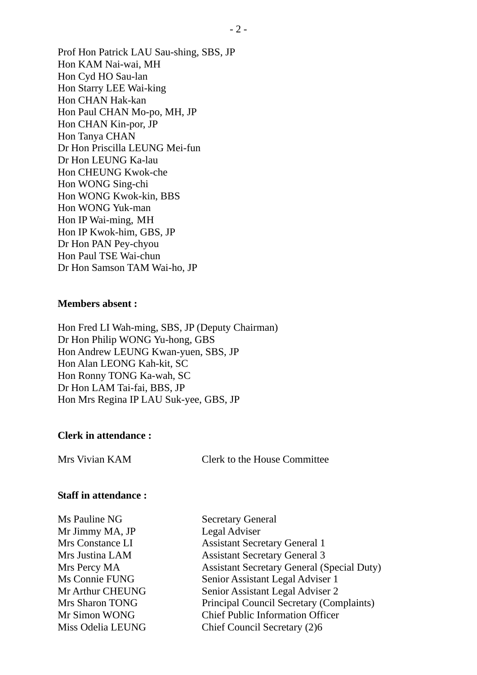Prof Hon Patrick LAU Sau-shing, SBS, JP Hon KAM Nai-wai, MH Hon Cyd HO Sau-lan Hon Starry LEE Wai-king Hon CHAN Hak-kan Hon Paul CHAN Mo-po, MH, JP Hon CHAN Kin-por, JP Hon Tanya CHAN Dr Hon Priscilla LEUNG Mei-fun Dr Hon LEUNG Ka-lau Hon CHEUNG Kwok-che Hon WONG Sing-chi Hon WONG Kwok-kin, BBS Hon WONG Yuk-man Hon IP Wai-ming, MH Hon IP Kwok-him, GBS, JP Dr Hon PAN Pey-chyou Hon Paul TSE Wai-chun Dr Hon Samson TAM Wai-ho, JP

#### **Members absent :**

Hon Fred LI Wah-ming, SBS, JP (Deputy Chairman) Dr Hon Philip WONG Yu-hong, GBS Hon Andrew LEUNG Kwan-yuen, SBS, JP Hon Alan LEONG Kah-kit, SC Hon Ronny TONG Ka-wah, SC Dr Hon LAM Tai-fai, BBS, JP Hon Mrs Regina IP LAU Suk-yee, GBS, JP

#### **Clerk in attendance :**

Mrs Vivian KAM Clerk to the House Committee

#### **Staff in attendance :**

Ms Pauline NG Secretary General Mr Jimmy MA, JP Legal Adviser

Mrs Constance LI Assistant Secretary General 1 Mrs Justina LAM Assistant Secretary General 3 Mrs Percy MA Assistant Secretary General (Special Duty) Ms Connie FUNG Senior Assistant Legal Adviser 1 Mr Arthur CHEUNG Senior Assistant Legal Adviser 2 Mrs Sharon TONG Principal Council Secretary (Complaints) Mr Simon WONG Chief Public Information Officer Miss Odelia LEUNG Chief Council Secretary (2)6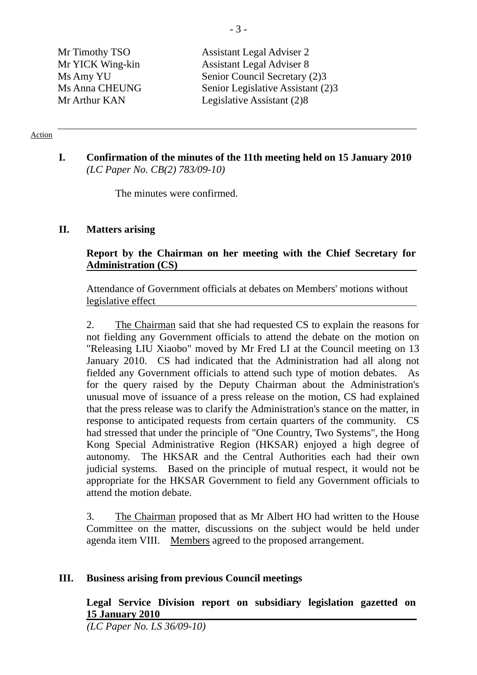Mr Timothy TSO Assistant Legal Adviser 2 Mr YICK Wing-kin Assistant Legal Adviser 8 Ms Amy YU Senior Council Secretary (2)3 Ms Anna CHEUNG Senior Legislative Assistant (2)3 Mr Arthur KAN Legislative Assistant (2)8

#### Action

### **I. Confirmation of the minutes of the 11th meeting held on 15 January 2010** *(LC Paper No. CB(2) 783/09-10)*

The minutes were confirmed.

### **II. Matters arising**

### **Report by the Chairman on her meeting with the Chief Secretary for Administration (CS)**

Attendance of Government officials at debates on Members' motions without legislative effect

2. The Chairman said that she had requested CS to explain the reasons for not fielding any Government officials to attend the debate on the motion on "Releasing LIU Xiaobo" moved by Mr Fred LI at the Council meeting on 13 January 2010. CS had indicated that the Administration had all along not fielded any Government officials to attend such type of motion debates. As for the query raised by the Deputy Chairman about the Administration's unusual move of issuance of a press release on the motion, CS had explained that the press release was to clarify the Administration's stance on the matter, in response to anticipated requests from certain quarters of the community. CS had stressed that under the principle of "One Country, Two Systems", the Hong Kong Special Administrative Region (HKSAR) enjoyed a high degree of autonomy. The HKSAR and the Central Authorities each had their own judicial systems. Based on the principle of mutual respect, it would not be appropriate for the HKSAR Government to field any Government officials to attend the motion debate.

3. The Chairman proposed that as Mr Albert HO had written to the House Committee on the matter, discussions on the subject would be held under agenda item VIII. Members agreed to the proposed arrangement.

### **III. Business arising from previous Council meetings**

**Legal Service Division report on subsidiary legislation gazetted on 15 January 2010** 

*(LC Paper No. LS 36/09-10)*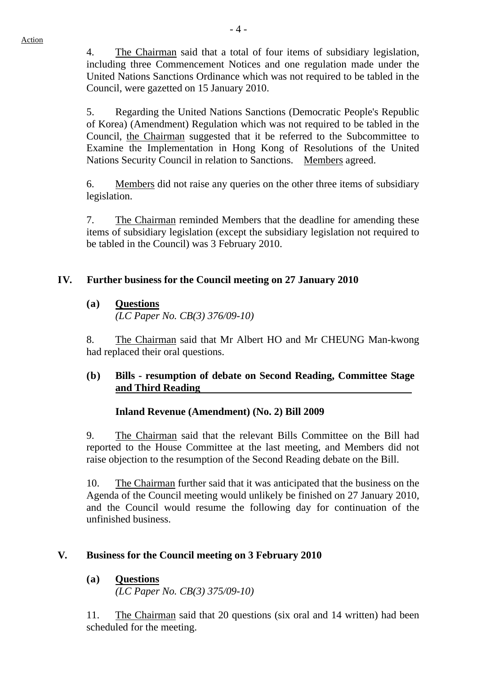4. The Chairman said that a total of four items of subsidiary legislation, including three Commencement Notices and one regulation made under the United Nations Sanctions Ordinance which was not required to be tabled in the Council, were gazetted on 15 January 2010.

5. Regarding the United Nations Sanctions (Democratic People's Republic of Korea) (Amendment) Regulation which was not required to be tabled in the Council, the Chairman suggested that it be referred to the Subcommittee to Examine the Implementation in Hong Kong of Resolutions of the United Nations Security Council in relation to Sanctions. Members agreed.

6. Members did not raise any queries on the other three items of subsidiary legislation.

7. The Chairman reminded Members that the deadline for amending these items of subsidiary legislation (except the subsidiary legislation not required to be tabled in the Council) was 3 February 2010.

# **IV. Further business for the Council meeting on 27 January 2010**

# **(a) Questions**

*(LC Paper No. CB(3) 376/09-10)* 

8. The Chairman said that Mr Albert HO and Mr CHEUNG Man-kwong had replaced their oral questions.

## **(b) Bills - resumption of debate on Second Reading, Committee Stage and Third Reading**

# **Inland Revenue (Amendment) (No. 2) Bill 2009**

9. The Chairman said that the relevant Bills Committee on the Bill had reported to the House Committee at the last meeting, and Members did not raise objection to the resumption of the Second Reading debate on the Bill.

10. The Chairman further said that it was anticipated that the business on the Agenda of the Council meeting would unlikely be finished on 27 January 2010, and the Council would resume the following day for continuation of the unfinished business.

# **V. Business for the Council meeting on 3 February 2010**

# **(a) Questions**

*(LC Paper No. CB(3) 375/09-10)* 

11. The Chairman said that 20 questions (six oral and 14 written) had been scheduled for the meeting.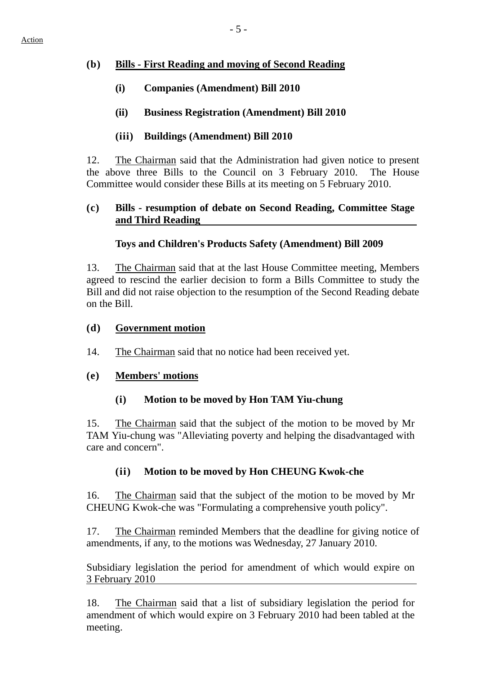### **(b) Bills - First Reading and moving of Second Reading**

- **(i) Companies (Amendment) Bill 2010**
- **(ii) Business Registration (Amendment) Bill 2010**

### **(iii) Buildings (Amendment) Bill 2010**

12. The Chairman said that the Administration had given notice to present the above three Bills to the Council on 3 February 2010. The House Committee would consider these Bills at its meeting on 5 February 2010.

### **(c) Bills - resumption of debate on Second Reading, Committee Stage and Third Reading**

## **Toys and Children's Products Safety (Amendment) Bill 2009**

13. The Chairman said that at the last House Committee meeting, Members agreed to rescind the earlier decision to form a Bills Committee to study the Bill and did not raise objection to the resumption of the Second Reading debate on the Bill.

### **(d) Government motion**

14. The Chairman said that no notice had been received yet.

### **(e) Members' motions**

## **(i) Motion to be moved by Hon TAM Yiu-chung**

15. The Chairman said that the subject of the motion to be moved by Mr TAM Yiu-chung was "Alleviating poverty and helping the disadvantaged with care and concern".

## **(ii) Motion to be moved by Hon CHEUNG Kwok-che**

16. The Chairman said that the subject of the motion to be moved by Mr CHEUNG Kwok-che was "Formulating a comprehensive youth policy".

17. The Chairman reminded Members that the deadline for giving notice of amendments, if any, to the motions was Wednesday, 27 January 2010.

Subsidiary legislation the period for amendment of which would expire on 3 February 2010

18. The Chairman said that a list of subsidiary legislation the period for amendment of which would expire on 3 February 2010 had been tabled at the meeting.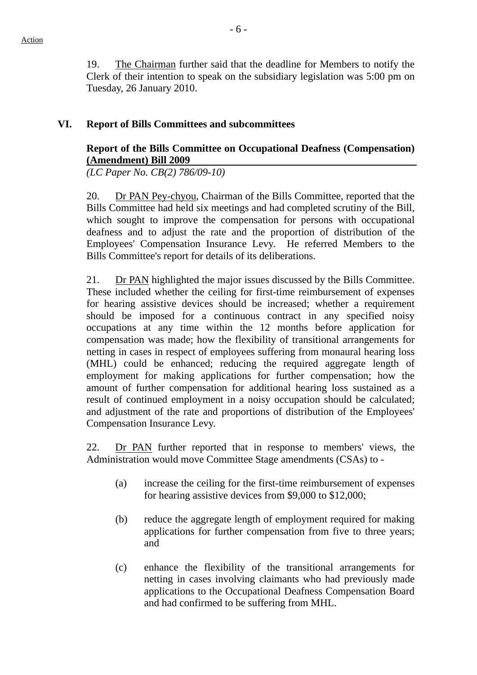19. The Chairman further said that the deadline for Members to notify the Clerk of their intention to speak on the subsidiary legislation was 5:00 pm on Tuesday, 26 January 2010.

#### **VI. Report of Bills Committees and subcommittees**

### **Report of the Bills Committee on Occupational Deafness (Compensation) (Amendment) Bill 2009**

*(LC Paper No. CB(2) 786/09-10)* 

20. Dr PAN Pey-chyou, Chairman of the Bills Committee, reported that the Bills Committee had held six meetings and had completed scrutiny of the Bill, which sought to improve the compensation for persons with occupational deafness and to adjust the rate and the proportion of distribution of the Employees' Compensation Insurance Levy. He referred Members to the Bills Committee's report for details of its deliberations.

21. Dr PAN highlighted the major issues discussed by the Bills Committee. These included whether the ceiling for first-time reimbursement of expenses for hearing assistive devices should be increased; whether a requirement should be imposed for a continuous contract in any specified noisy occupations at any time within the 12 months before application for compensation was made; how the flexibility of transitional arrangements for netting in cases in respect of employees suffering from monaural hearing loss (MHL) could be enhanced; reducing the required aggregate length of employment for making applications for further compensation; how the amount of further compensation for additional hearing loss sustained as a result of continued employment in a noisy occupation should be calculated; and adjustment of the rate and proportions of distribution of the Employees' Compensation Insurance Levy.

22. Dr PAN further reported that in response to members' views, the Administration would move Committee Stage amendments (CSAs) to -

- (a) increase the ceiling for the first-time reimbursement of expenses for hearing assistive devices from \$9,000 to \$12,000;
- (b) reduce the aggregate length of employment required for making applications for further compensation from five to three years; and
- (c) enhance the flexibility of the transitional arrangements for netting in cases involving claimants who had previously made applications to the Occupational Deafness Compensation Board and had confirmed to be suffering from MHL.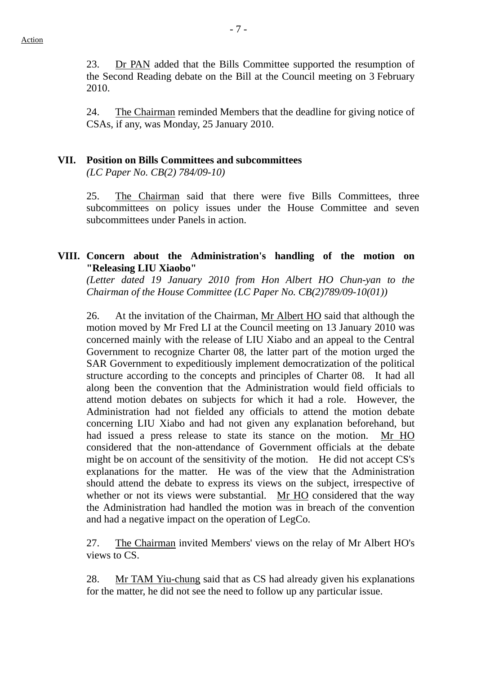23. Dr PAN added that the Bills Committee supported the resumption of the Second Reading debate on the Bill at the Council meeting on 3 February 2010.

24. The Chairman reminded Members that the deadline for giving notice of CSAs, if any, was Monday, 25 January 2010.

### **VII. Position on Bills Committees and subcommittees**

*(LC Paper No. CB(2) 784/09-10)* 

25. The Chairman said that there were five Bills Committees, three subcommittees on policy issues under the House Committee and seven subcommittees under Panels in action.

### **VIII. Concern about the Administration's handling of the motion on "Releasing LIU Xiaobo"**

*(Letter dated 19 January 2010 from Hon Albert HO Chun-yan to the Chairman of the House Committee (LC Paper No. CB(2)789/09-10(01))* 

26. At the invitation of the Chairman, Mr Albert HO said that although the motion moved by Mr Fred LI at the Council meeting on 13 January 2010 was concerned mainly with the release of LIU Xiabo and an appeal to the Central Government to recognize Charter 08, the latter part of the motion urged the SAR Government to expeditiously implement democratization of the political structure according to the concepts and principles of Charter 08. It had all along been the convention that the Administration would field officials to attend motion debates on subjects for which it had a role. However, the Administration had not fielded any officials to attend the motion debate concerning LIU Xiabo and had not given any explanation beforehand, but had issued a press release to state its stance on the motion. Mr HO considered that the non-attendance of Government officials at the debate might be on account of the sensitivity of the motion. He did not accept CS's explanations for the matter. He was of the view that the Administration should attend the debate to express its views on the subject, irrespective of whether or not its views were substantial. Mr HO considered that the way the Administration had handled the motion was in breach of the convention and had a negative impact on the operation of LegCo.

27. The Chairman invited Members' views on the relay of Mr Albert HO's views to CS.

28. Mr TAM Yiu-chung said that as CS had already given his explanations for the matter, he did not see the need to follow up any particular issue.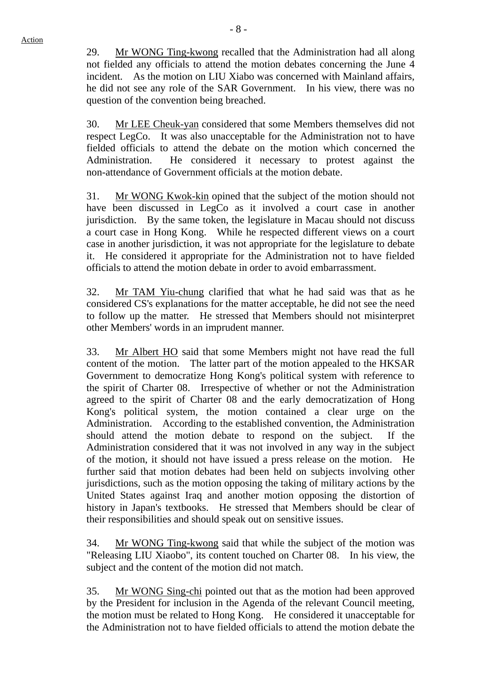29. Mr WONG Ting-kwong recalled that the Administration had all along not fielded any officials to attend the motion debates concerning the June 4 incident. As the motion on LIU Xiabo was concerned with Mainland affairs, he did not see any role of the SAR Government. In his view, there was no question of the convention being breached.

30. Mr LEE Cheuk-yan considered that some Members themselves did not respect LegCo. It was also unacceptable for the Administration not to have fielded officials to attend the debate on the motion which concerned the Administration. He considered it necessary to protest against the non-attendance of Government officials at the motion debate.

31. Mr WONG Kwok-kin opined that the subject of the motion should not have been discussed in LegCo as it involved a court case in another jurisdiction. By the same token, the legislature in Macau should not discuss a court case in Hong Kong. While he respected different views on a court case in another jurisdiction, it was not appropriate for the legislature to debate it. He considered it appropriate for the Administration not to have fielded officials to attend the motion debate in order to avoid embarrassment.

32. Mr TAM Yiu-chung clarified that what he had said was that as he considered CS's explanations for the matter acceptable, he did not see the need to follow up the matter. He stressed that Members should not misinterpret other Members' words in an imprudent manner.

33. Mr Albert HO said that some Members might not have read the full content of the motion. The latter part of the motion appealed to the HKSAR Government to democratize Hong Kong's political system with reference to the spirit of Charter 08. Irrespective of whether or not the Administration agreed to the spirit of Charter 08 and the early democratization of Hong Kong's political system, the motion contained a clear urge on the Administration. According to the established convention, the Administration should attend the motion debate to respond on the subject. If the Administration considered that it was not involved in any way in the subject of the motion, it should not have issued a press release on the motion. He further said that motion debates had been held on subjects involving other jurisdictions, such as the motion opposing the taking of military actions by the United States against Iraq and another motion opposing the distortion of history in Japan's textbooks. He stressed that Members should be clear of their responsibilities and should speak out on sensitive issues.

34. Mr WONG Ting-kwong said that while the subject of the motion was "Releasing LIU Xiaobo", its content touched on Charter 08. In his view, the subject and the content of the motion did not match.

35. Mr WONG Sing-chi pointed out that as the motion had been approved by the President for inclusion in the Agenda of the relevant Council meeting, the motion must be related to Hong Kong. He considered it unacceptable for the Administration not to have fielded officials to attend the motion debate the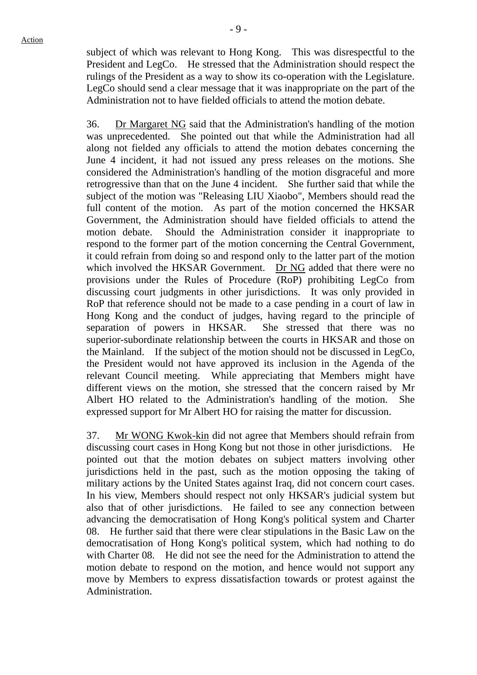subject of which was relevant to Hong Kong. This was disrespectful to the President and LegCo. He stressed that the Administration should respect the rulings of the President as a way to show its co-operation with the Legislature. LegCo should send a clear message that it was inappropriate on the part of the Administration not to have fielded officials to attend the motion debate.

36. Dr Margaret NG said that the Administration's handling of the motion was unprecedented. She pointed out that while the Administration had all along not fielded any officials to attend the motion debates concerning the June 4 incident, it had not issued any press releases on the motions. She considered the Administration's handling of the motion disgraceful and more retrogressive than that on the June 4 incident. She further said that while the subject of the motion was "Releasing LIU Xiaobo", Members should read the full content of the motion. As part of the motion concerned the HKSAR Government, the Administration should have fielded officials to attend the motion debate. Should the Administration consider it inappropriate to respond to the former part of the motion concerning the Central Government, it could refrain from doing so and respond only to the latter part of the motion which involved the HKSAR Government. Dr NG added that there were no provisions under the Rules of Procedure (RoP) prohibiting LegCo from discussing court judgments in other jurisdictions. It was only provided in RoP that reference should not be made to a case pending in a court of law in Hong Kong and the conduct of judges, having regard to the principle of separation of powers in HKSAR. She stressed that there was no superior-subordinate relationship between the courts in HKSAR and those on the Mainland. If the subject of the motion should not be discussed in LegCo, the President would not have approved its inclusion in the Agenda of the relevant Council meeting. While appreciating that Members might have different views on the motion, she stressed that the concern raised by Mr Albert HO related to the Administration's handling of the motion. She expressed support for Mr Albert HO for raising the matter for discussion.

37. Mr WONG Kwok-kin did not agree that Members should refrain from discussing court cases in Hong Kong but not those in other jurisdictions. He pointed out that the motion debates on subject matters involving other jurisdictions held in the past, such as the motion opposing the taking of military actions by the United States against Iraq, did not concern court cases. In his view, Members should respect not only HKSAR's judicial system but also that of other jurisdictions. He failed to see any connection between advancing the democratisation of Hong Kong's political system and Charter 08. He further said that there were clear stipulations in the Basic Law on the democratisation of Hong Kong's political system, which had nothing to do with Charter 08. He did not see the need for the Administration to attend the motion debate to respond on the motion, and hence would not support any move by Members to express dissatisfaction towards or protest against the Administration.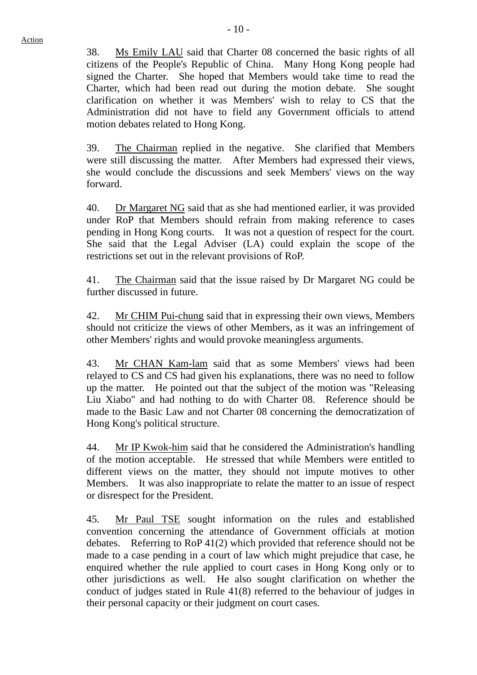38. Ms Emily LAU said that Charter 08 concerned the basic rights of all citizens of the People's Republic of China. Many Hong Kong people had signed the Charter. She hoped that Members would take time to read the Charter, which had been read out during the motion debate. She sought clarification on whether it was Members' wish to relay to CS that the Administration did not have to field any Government officials to attend motion debates related to Hong Kong.

39. The Chairman replied in the negative. She clarified that Members were still discussing the matter. After Members had expressed their views, she would conclude the discussions and seek Members' views on the way forward.

40. Dr Margaret NG said that as she had mentioned earlier, it was provided under RoP that Members should refrain from making reference to cases pending in Hong Kong courts. It was not a question of respect for the court. She said that the Legal Adviser (LA) could explain the scope of the restrictions set out in the relevant provisions of RoP.

41. The Chairman said that the issue raised by Dr Margaret NG could be further discussed in future.

42. Mr CHIM Pui-chung said that in expressing their own views, Members should not criticize the views of other Members, as it was an infringement of other Members' rights and would provoke meaningless arguments.

43. Mr CHAN Kam-lam said that as some Members' views had been relayed to CS and CS had given his explanations, there was no need to follow up the matter. He pointed out that the subject of the motion was "Releasing Liu Xiabo" and had nothing to do with Charter 08. Reference should be made to the Basic Law and not Charter 08 concerning the democratization of Hong Kong's political structure.

44. Mr IP Kwok-him said that he considered the Administration's handling of the motion acceptable. He stressed that while Members were entitled to different views on the matter, they should not impute motives to other Members. It was also inappropriate to relate the matter to an issue of respect or disrespect for the President.

45. Mr Paul TSE sought information on the rules and established convention concerning the attendance of Government officials at motion debates. Referring to RoP 41(2) which provided that reference should not be made to a case pending in a court of law which might prejudice that case, he enquired whether the rule applied to court cases in Hong Kong only or to other jurisdictions as well. He also sought clarification on whether the conduct of judges stated in Rule 41(8) referred to the behaviour of judges in their personal capacity or their judgment on court cases.